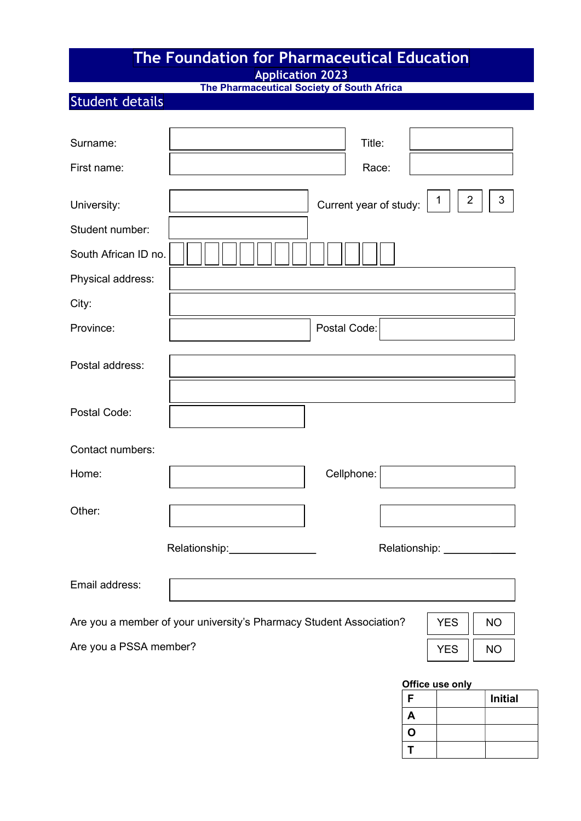# The Foundation for Pharmaceutical Education

Application 2023

The Pharmaceutical Society of South Africa

# Student details

| Surname:               | Title:                                                                                         |
|------------------------|------------------------------------------------------------------------------------------------|
| First name:            | Race:                                                                                          |
| University:            | $\overline{2}$<br>3<br>$\mathbf{1}$<br>Current year of study:                                  |
| Student number:        |                                                                                                |
| South African ID no.   |                                                                                                |
| Physical address:      |                                                                                                |
| City:                  |                                                                                                |
| Province:              | Postal Code:                                                                                   |
| Postal address:        |                                                                                                |
| Postal Code:           |                                                                                                |
| Contact numbers:       |                                                                                                |
| Home:                  | Cellphone:                                                                                     |
| Other:                 |                                                                                                |
|                        | Relationship:<br>Relationship: _                                                               |
| Email address:         |                                                                                                |
|                        | Are you a member of your university's Pharmacy Student Association?<br><b>YES</b><br><b>NO</b> |
| Are you a PSSA member? | <b>YES</b><br><b>NO</b>                                                                        |

#### Office use only

| F | <b>Initial</b> |
|---|----------------|
| A |                |
| O |                |
|   |                |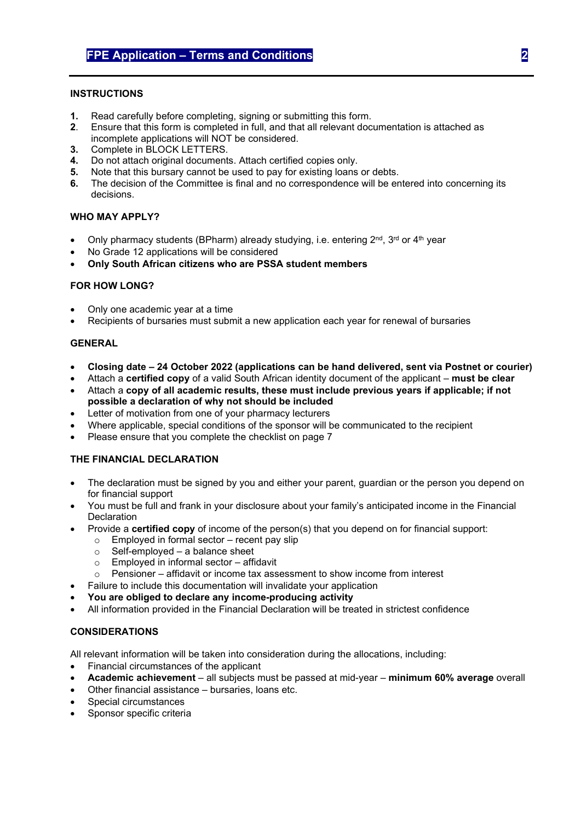#### **INSTRUCTIONS**

- 1. Read carefully before completing, signing or submitting this form.
- 2. Ensure that this form is completed in full, and that all relevant documentation is attached as incomplete applications will NOT be considered.
- 3. Complete in BLOCK LETTERS.
- 4. Do not attach original documents. Attach certified copies only.
- 5. Note that this bursary cannot be used to pay for existing loans or debts.
- 6. The decision of the Committee is final and no correspondence will be entered into concerning its decisions.

#### WHO MAY APPLY?

- Only pharmacy students (BPharm) already studying, i.e. entering 2<sup>nd</sup>, 3<sup>rd</sup> or 4<sup>th</sup> year
- No Grade 12 applications will be considered
- Only South African citizens who are PSSA student members

#### FOR HOW LONG?

- Only one academic year at a time
- Recipients of bursaries must submit a new application each year for renewal of bursaries

#### GENERAL

- Closing date 24 October 2022 (applications can be hand delivered, sent via Postnet or courier)
- Attach a certified copy of a valid South African identity document of the applicant must be clear
- Attach a copy of all academic results, these must include previous years if applicable; if not possible a declaration of why not should be included
- Letter of motivation from one of your pharmacy lecturers
- Where applicable, special conditions of the sponsor will be communicated to the recipient
- Please ensure that you complete the checklist on page 7

#### THE FINANCIAL DECLARATION

- The declaration must be signed by you and either your parent, guardian or the person you depend on for financial support
- You must be full and frank in your disclosure about your family's anticipated income in the Financial **Declaration**
- Provide a certified copy of income of the person(s) that you depend on for financial support:
	- $\circ$  Employed in formal sector recent pay slip
	- $\circ$  Self-employed a balance sheet<br>  $\circ$  Employed in informal sector affi
	- Employed in informal sector affidavit
	- $\circ$  Pensioner affidavit or income tax assessment to show income from interest
- Failure to include this documentation will invalidate your application
- You are obliged to declare any income-producing activity
- All information provided in the Financial Declaration will be treated in strictest confidence

#### CONSIDERATIONS

All relevant information will be taken into consideration during the allocations, including:

- Financial circumstances of the applicant
- Academic achievement all subjects must be passed at mid-year minimum 60% average overall
- Other financial assistance bursaries, loans etc.
- Special circumstances
- Sponsor specific criteria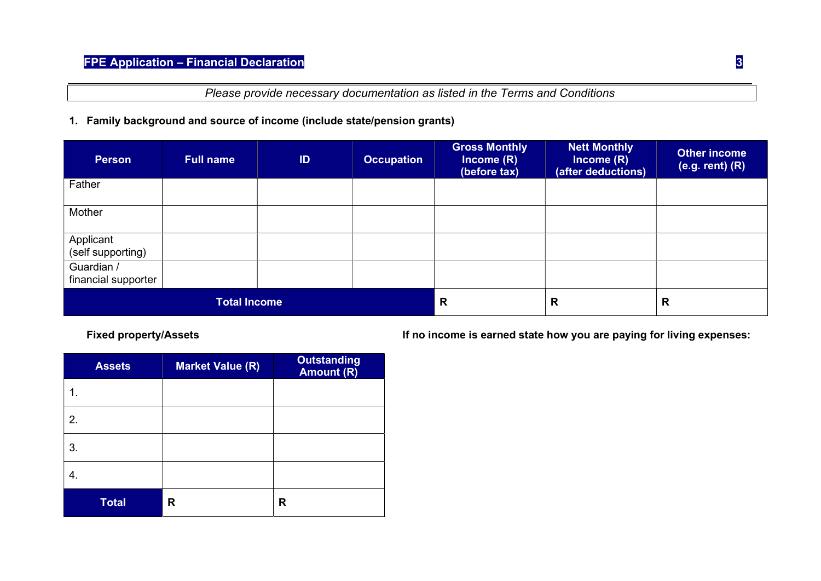Please provide necessary documentation as listed in the Terms and Conditions

### 1. Family background and source of income (include state/pension grants)

| <b>Person</b>                     | <b>Full name</b> | ID | <b>Occupation</b> | <b>Gross Monthly</b><br>Income $(R)$<br>(before tax) | <b>Nett Monthly</b><br>Income $(R)$<br>(after deductions) | <b>Other income</b><br>$(e.g. rent)$ $(R)$ |
|-----------------------------------|------------------|----|-------------------|------------------------------------------------------|-----------------------------------------------------------|--------------------------------------------|
| Father                            |                  |    |                   |                                                      |                                                           |                                            |
| Mother                            |                  |    |                   |                                                      |                                                           |                                            |
| Applicant<br>(self supporting)    |                  |    |                   |                                                      |                                                           |                                            |
| Guardian /<br>financial supporter |                  |    |                   |                                                      |                                                           |                                            |
| <b>Total Income</b>               |                  |    | $\mathsf{R}$      | R                                                    | R                                                         |                                            |

| <b>Assets</b> | <b>Market Value (R)</b> | <b>Outstanding</b><br>Amount (R) |
|---------------|-------------------------|----------------------------------|
| 1.            |                         |                                  |
| 2.            |                         |                                  |
| 3.            |                         |                                  |
| 4.            |                         |                                  |
| <b>Total</b>  | R                       | R                                |

Fixed property/Assets **If no income is earned state how you are paying for living expenses:**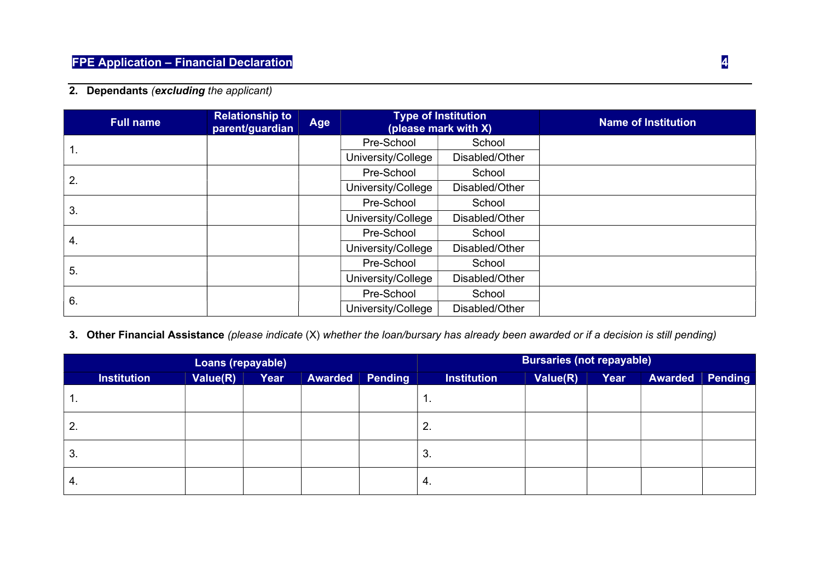# 2. Dependants (excluding the applicant)

| <b>Full name</b> | <b>Relationship to</b><br>parent/guardian | Age |                    | <b>Type of Institution</b><br>(please mark with X) | <b>Name of Institution</b> |
|------------------|-------------------------------------------|-----|--------------------|----------------------------------------------------|----------------------------|
|                  |                                           |     | Pre-School         | School                                             |                            |
| н.               |                                           |     | University/College | Disabled/Other                                     |                            |
| 2.               |                                           |     | Pre-School         | School                                             |                            |
|                  |                                           |     | University/College | Disabled/Other                                     |                            |
|                  |                                           |     | Pre-School         | School                                             |                            |
| 3.               |                                           |     | University/College | Disabled/Other                                     |                            |
|                  |                                           |     | Pre-School         | School                                             |                            |
| 4.               |                                           |     | University/College | Disabled/Other                                     |                            |
|                  |                                           |     | Pre-School         | School                                             |                            |
| 5.               |                                           |     | University/College | Disabled/Other                                     |                            |
|                  |                                           |     | Pre-School         | School                                             |                            |
| 6.               |                                           |     | University/College | Disabled/Other                                     |                            |

## 3. Other Financial Assistance (please indicate (X) whether the loan/bursary has already been awarded or if a decision is still pending)

| Loans (repayable)  |          |      |                | <b>Bursaries (not repayable)</b> |                    |          |      |         |                |
|--------------------|----------|------|----------------|----------------------------------|--------------------|----------|------|---------|----------------|
| <b>Institution</b> | Value(R) | Year | <b>Awarded</b> | Pending                          | <b>Institution</b> | Value(R) | Year | Awarded | <b>Pending</b> |
| . .                |          |      |                |                                  | . .                |          |      |         |                |
| ۷.                 |          |      |                |                                  | 2.                 |          |      |         |                |
| 3.                 |          |      |                |                                  | 3.                 |          |      |         |                |
| 4.                 |          |      |                |                                  | -4.                |          |      |         |                |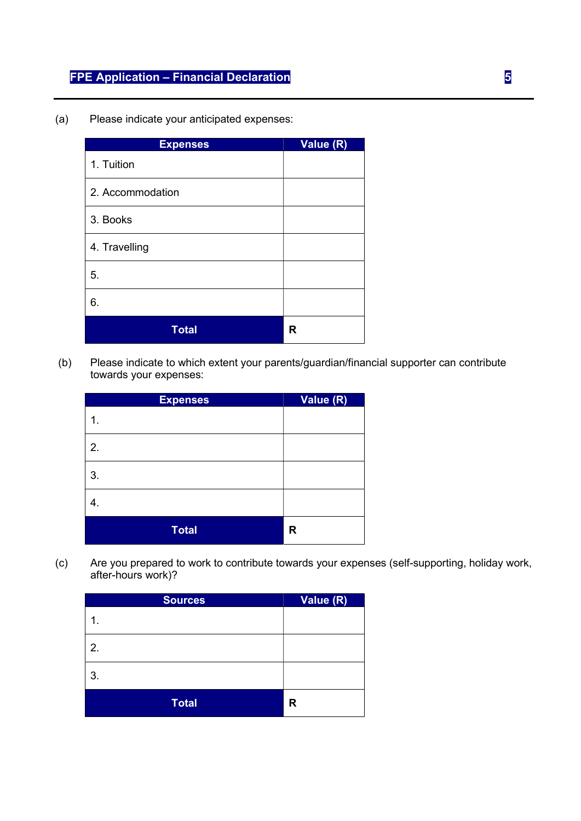# FPE Application – Financial Declaration 5

(a) Please indicate your anticipated expenses:

| <b>Expenses</b>  | Value (R) |
|------------------|-----------|
| 1. Tuition       |           |
| 2. Accommodation |           |
| 3. Books         |           |
| 4. Travelling    |           |
| 5.               |           |
| 6.               |           |
| <b>Total</b>     | R         |

 (b) Please indicate to which extent your parents/guardian/financial supporter can contribute towards your expenses:

| <b>Expenses</b> | Value (R) |
|-----------------|-----------|
| 1.              |           |
| 2.              |           |
| 3.              |           |
| 4.              |           |
| <b>Total</b>    | R         |

(c) Are you prepared to work to contribute towards your expenses (self-supporting, holiday work, after-hours work)?

| <b>Sources</b> | Value (R) |
|----------------|-----------|
| 1.             |           |
| 2.             |           |
| 3.             |           |
| <b>Total</b>   | R         |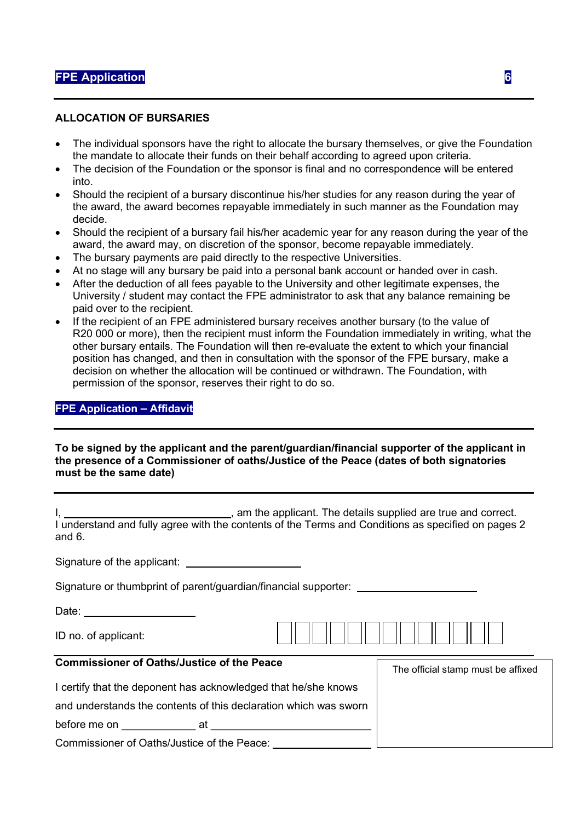#### ALLOCATION OF BURSARIES

- The individual sponsors have the right to allocate the bursary themselves, or give the Foundation the mandate to allocate their funds on their behalf according to agreed upon criteria.
- The decision of the Foundation or the sponsor is final and no correspondence will be entered into.
- Should the recipient of a bursary discontinue his/her studies for any reason during the year of the award, the award becomes repayable immediately in such manner as the Foundation may decide.
- Should the recipient of a bursary fail his/her academic year for any reason during the year of the award, the award may, on discretion of the sponsor, become repayable immediately.
- The bursary payments are paid directly to the respective Universities.
- At no stage will any bursary be paid into a personal bank account or handed over in cash.
- After the deduction of all fees payable to the University and other legitimate expenses, the University / student may contact the FPE administrator to ask that any balance remaining be paid over to the recipient.
- If the recipient of an FPE administered bursary receives another bursary (to the value of R20 000 or more), then the recipient must inform the Foundation immediately in writing, what the other bursary entails. The Foundation will then re-evaluate the extent to which your financial position has changed, and then in consultation with the sponsor of the FPE bursary, make a decision on whether the allocation will be continued or withdrawn. The Foundation, with permission of the sponsor, reserves their right to do so.

#### FPE Application – Affidavit

#### To be signed by the applicant and the parent/guardian/financial supporter of the applicant in the presence of a Commissioner of oaths/Justice of the Peace (dates of both signatories must be the same date)

| I, __________________________________, am the applicant. The details supplied are true and correct.<br>I understand and fully agree with the contents of the Terms and Conditions as specified on pages 2<br>and $6.$         |                                    |
|-------------------------------------------------------------------------------------------------------------------------------------------------------------------------------------------------------------------------------|------------------------------------|
|                                                                                                                                                                                                                               |                                    |
| Signature or thumbprint of parent/guardian/financial supporter: ________________                                                                                                                                              |                                    |
|                                                                                                                                                                                                                               |                                    |
| ID no. of applicant:                                                                                                                                                                                                          |                                    |
| <b>Commissioner of Oaths/Justice of the Peace</b>                                                                                                                                                                             | The official stamp must be affixed |
| I certify that the deponent has acknowledged that he/she knows                                                                                                                                                                |                                    |
| and understands the contents of this declaration which was sworn                                                                                                                                                              |                                    |
| before me on example at example at the set of the set of the set of the set of the set of the set of the set of the set of the set of the set of the set of the set of the set of the set of the set of the set of the set of |                                    |
| Commissioner of Oaths/Justice of the Peace:                                                                                                                                                                                   |                                    |